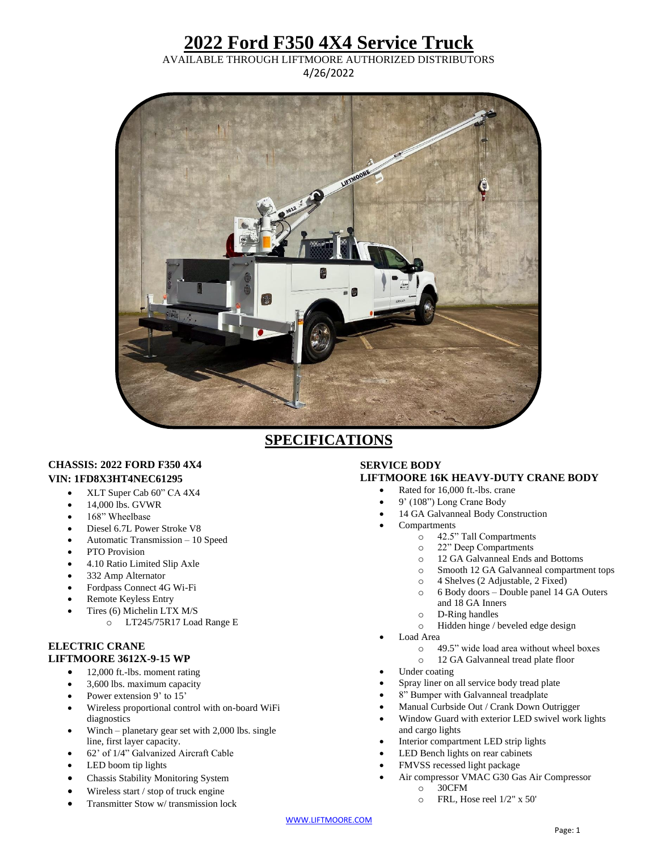## **2022 Ford F350 4X4 Service Truck**

AVAILABLE THROUGH LIFTMOORE AUTHORIZED DISTRIBUTORS 4/26/2022



### **SPECIFICATIONS**

#### **CHASSIS: 2022 FORD F350 4X4 VIN: 1FD8X3HT4NEC61295**

- XLT Super Cab 60" CA 4X4
- $\bullet$  14,000 lbs. GVWR
- 168" Wheelbase
- Diesel 6.7L Power Stroke V8
- Automatic Transmission 10 Speed
- PTO Provision
- 4.10 Ratio Limited Slip Axle
- 332 Amp Alternator
- Fordpass Connect 4G Wi-Fi
- Remote Keyless Entry
- Tires (6) Michelin LTX M/S
	- o LT245/75R17 Load Range E

#### **ELECTRIC CRANE LIFTMOORE 3612X-9-15 WP**

- 12,000 ft.-lbs. moment rating
- 3,600 lbs. maximum capacity
- Power extension 9' to 15'
- Wireless proportional control with on-board WiFi diagnostics
- Winch planetary gear set with 2,000 lbs. single line, first layer capacity.
- 62' of 1/4" Galvanized Aircraft Cable
- LED boom tip lights
- Chassis Stability Monitoring System
- Wireless start / stop of truck engine
- Transmitter Stow w/ transmission lock

#### **SERVICE BODY LIFTMOORE 16K HEAVY-DUTY CRANE BODY**

- Rated for 16,000 ft.-lbs. crane
- 9' (108") Long Crane Body
- 14 GA Galvanneal Body Construction
- Compartments
	- o 42.5" Tall Compartments
	- o 22" Deep Compartments
	- o 12 GA Galvanneal Ends and Bottoms
	- o Smooth 12 GA Galvanneal compartment tops
	- o 4 Shelves (2 Adjustable, 2 Fixed)
	- o 6 Body doors Double panel 14 GA Outers
	- and 18 GA Inners
	- o D-Ring handles
	- o Hidden hinge / beveled edge design
- Load Area
	- o 49.5" wide load area without wheel boxes
	- o 12 GA Galvanneal tread plate floor
- Under coating
- Spray liner on all service body tread plate
- 8" Bumper with Galvanneal treadplate
- Manual Curbside Out / Crank Down Outrigger
- Window Guard with exterior LED swivel work lights and cargo lights
- Interior compartment LED strip lights
- LED Bench lights on rear cabinets
- FMVSS recessed light package
- Air compressor VMAC G30 Gas Air Compressor
	- o 30CFM
		- o FRL, Hose reel 1/2" x 50'